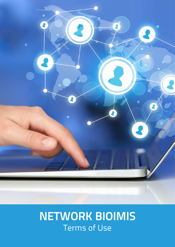

# **NETWORK BIOIMIS** Terms of Use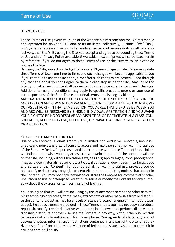## **TERMS OF USE**

These Terms of Use govern your use of the website bioimis.com and the Bioimis mobile app, operated by Bioworld S.r.l. and/or its affiliates (collectively, "Bioimis", "we", "us"," our") ,whether accessed via computer, mobile device or otherwise (individually and collectively, the "Site"). By using the Site, you accept and agree to be bound by these Terms of Use and our Privacy Policy, available at www.bioimis.com/privacy, incorporated herein by reference. If you do not agree to these Terms of Use or the Privacy Policy, please do not use the Site.

By using the Site, you acknowledge that you are 18 years of age or older. We may update these Terms of Use from time to time, and such changes will become applicable to you if you continue to use the Site at any time after such changes are posted. Read through any changes, and if you don't agree to them, please stop using the Site. Any use of the Site by you after such notice shall be deemed to constitute acceptance of such changes. Additional terms and conditions may apply to specific products, orders or your use of certain portions of the Site. These additional terms are also legally binding.

ARBITRATION NOTICE: EXCEPT FOR CERTAIN TYPES OF DISPUTES DESCRIBED IN THE "ARBITRATION AND CLASS ACTION WAIVER" SECTION BELOW, AND IF YOU DO NOT OPT-OUT AS SET FORTH IN THAT SAME SECTION, YOU AGREE THAT DISPUTES BETWEEN YOU AND ABC WILL BE RESOLVED BY BINDING, INDIVIDUAL ARBITRATION, AND YOU WAIVE YOUR RIGHT TO BRING OR RESOLVE ANY DISPUTE AS, OR PARTICIPATE IN, A CLASS, CON-SOLIDATED, REPRESENTATIVE, COLLECTIVE, OR PRIVATE ATTORNEY GENERAL ACTION OR ARBITRATION.

#### **1) USE OF SITE AND SITE CONTENT**

Use of Site Content. Bioimis grants you a limited, non-exclusive, revocable, non-assignable, and non-transferable license to access and make personal, non-commercial use of the Site only for lawful purposes and in accordance with these Terms of Use. Unless we indicate otherwise, you may access, copy, download and print the content available on the Site, including, without limitation, text, design, graphics, logos, icons, photographs, images, video materials, audio clips, articles, illustrations, downloads, interfaces, code and software (the "Content"), for your personal, non-commercial use, provided you do not modify or delete any copyright, trademark or other proprietary notices that appear in the Content. You may not copy, download or store the Content for commercial or other unauthorized use, or attempt to redistribute, reuse or modify the Content for any purpose without the express written permission of Bioimis.

You also agree that you will not, including by use of any robot, scraper, or other data mining technology or process, frame, mask, extract data or other materials from or distribute the Content (except as may be a result of standard search engine or Internet browser usage). Except as expressly provided in these Terms of Use, you may not copy, reproduce, republish, modify, create derivative works of, upload, download, perform, display, post, transmit, distribute or otherwise use the Content in any way, without the prior written permission of a duly authorized Bioimis employee. You agree to abide by any and all copyright notices, information, or restrictions contained in any part of the Site. Unauthorized use of the Content may be a violation of federal and state laws and could result in civil and criminal liability.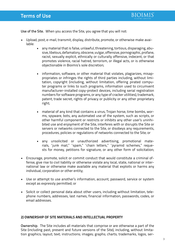

Use of the Site. When you access the Site, you agree that you will not:

- Upload, post, e-mail, transmit, display, distribute, promote, or otherwise make available:
	- any material that is false, unlawful, threatening, tortious, disparaging, abusive, libelous, defamatory, obscene, vulgar, offensive, pornographic, profane, racist, sexually explicit, ethnically or culturally offensive, indecent, or that promotes violence, racial hatred, terrorism, or illegal acts, or is otherwise objectionable in Bioimis's sole discretion;
	- information, software, or other material that violates, plagiarizes, misappropriates or infringes the rights of third parties including, without limitation, copyright (including, without limitation, offering pirated computer programs or links to such programs, information used to circumvent manufacturer-installed copy-protect devices, including serial registration numbers for software programs, or any type of cracker utilities), trademark, patent, trade secret, rights of privacy or publicity or any other proprietary right;
	- material of any kind that contains a virus, Trojan horse, time bombs, worms, spyware, bots, any automated use of the system, such as scripts, or other harmful component or restricts or inhibits any other user's uninhibited use and enjoyment of the Site, interferes with or disrupts the Site or servers or networks connected to the Site, or disobeys any requirements, procedures, policies or regulations of networks connected to the Site; or
	- any unsolicited or unauthorized advertising, promotional materials, "junk mail," "spam," "chain letters," "pyramid schemes," requests for money, petitions for signature, or any other form of solicitation;
- Encourage, promote, solicit or commit conduct that would constitute a criminal offense, give rise to civil liability or otherwise violate any local, state, national or international law or otherwise make available any material that exploits or harms any individual, corporation or other entity;
- Use or attempt to use another's information, account, password, service or system except as expressly permitted; or
- Solicit or collect personal data about other users, including without limitation, telephone numbers, addresses, last names, financial information, passwords, codes, or email addresses.

## **2) OWNERSHIP OF SITE MATERIALS AND INTELLECTUAL PROPERTY**

Ownership. The Site includes all materials that comprise or are otherwise a part of the Site (including past, present and future versions of the Site), including, without limitation graphics; layout; text; instructions; images; graphs; charts; trademarks, logos, ser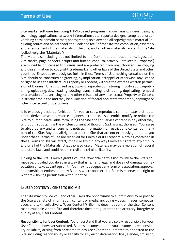vice marks; software (including HTML-based programs); audio; music; videos; designs; technology; applications; artwork; information; data; reports; designs; compilations; advertising copy; domain names; photographs; text; any and all copyrightable material (including source and object code); the "look and feel" of the Site; the compilation, assembly and arrangement of the materials of the Site; and all other materials related to the Site (collectively, the "Materials").

The Materials, including but not limited to the Content and all trademarks, logos, service marks, page headers, scripts and button icons (collectively "Intellectual Property") are owned by or licensed to Bioimis, and are protected from unauthorized use, copying and dissemination by copyright, trademark and other laws of the United State and other countries Except as expressly set forth in these Terms of Use, nothing contained on the Site should be construed as granting, by implication, estoppel, or otherwise, any license or right to use the Intellectual Property or Content, without the express written permission of Bioimis. Unauthorized use, copying, reproduction, storing, modification, republishing, uploading, downloading, posting, transmitting, distributing, duplicating, removal or alteration of advertising, or any other misuse of any Intellectual Property or Content is strictly prohibited and may be a violation of federal and state trademark, copyright or other intellectual property laws.

It is expressly declared forbidden for you to copy, reproduce, communicate, distribute, create derivative works, reverse engineer, decompile, disassemble, modify, or reduce the Site to human perceivable form using the Site and/or Service content in any other way, without first obtaining the written consent of Bioworld S.r.l, is unauthorised. You agree to abide by any and all copyright notices, information, or restrictions contained in any part of the Site. Any and all rights to use the Site that are not expressly granted to you under these Terms of Use are reserved for Bioimis or its licensors. Nothing contained in these Terms of Use will affect, impair, or limit in any way Bioimis's rights to exploit fully any or all of the Materials. Unauthorized use of Materials may be a violation of federal and state laws and could result in civil and criminal liability.

Linking to the Site. Bioimis grants you the revocable permission to link to the Site's homepage, provided you do so in a way that is fair and legal and does not damage our reputation or take advantage of it. You may not suggest any form of association, approval, sponsorship or endorsement by Bioimis where none exists. Bioimis reserves the right to withdraw linking permission without notice.

## **3) USER CONTENT; LICENSE TO BIOIMIS**

The Site may provide you and other users the opportunity to submit, display or post to the Site a variety of information, content or media, including videos, images, computer code, and text (collectively, "User Content"). Bioimis does not control the User Content made available via the Site and therefore does not guarantee the accuracy, integrity or quality of any User Content.

Responsibility for User Content. You understand that you are solely responsible for your User Content, however submitted. Bioimis assumes no, and you assume all, responsibility or liability arising from or related to any User Content submitted to or posted to the Site, including responsibility or liability for any error, defamation, libel, slander, omission,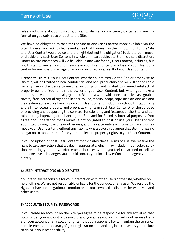

falsehood, obscenity, pornography, profanity, danger, or inaccuracy contained in any information you submit to or post to the Site.

We have no obligation to monitor the Site or any User Content made available via the Site. However, you acknowledge and agree that Bioimis has the right to monitor the Site and User Content you provide and the right (but not the obligation) to delete, edit, move, or disable any such User Content in whole or in part subject to Bioimis's sole discretion. Under no circumstances will we be liable in any way for any User Content, including, but not limited to, any errors or omissions in your User Content, any loss of your User Content or for any loss or damage of any kind incurred as a result of your User Content.

License to Bioimis. Your User Content, whether submitted via the Site or otherwise to Bioimis, will be treated as non-confidential and non-proprietary and we will not be liable for any use or disclosure to anyone, including but not limited to claimed intellectual property owners. You remain the owner of your User Content, but, when you make a submission, you automatically grant to Bioimis a worldwide, non-exclusive, assignable, royalty-free, perpetual right and license to use, modify, adapt, copy, display, disclose and create derivative works based upon your User Content (including without limitation any and all intellectual property and proprietary rights in such User Content) for the purpose of providing and supporting the services, functionality and features of the Site, and administering, improving or enhancing the Site, and for Bioimis's internal purposes. You agree and understand that Bioimis is not obligated to post or use your User Content submitted through the Site or otherwise, and may alternatively choose to discard or remove your User Content without any liability whatsoever. You agree that Bioimis has no obligation to monitor or enforce your intellectual property rights to your User Content.

If you do upload or post User Content that violates these Terms of Use, we reserve the right to take any action that we deem appropriate, which may include, in our sole discretion, reporting you to law enforcement. In cases where you feel threatened or believe someone else is in danger, you should contact your local law enforcement agency immediately.

## **4) USER INTERACTIONS AND DISPUTES**

You are solely responsible for your interaction with other users of the Site, whether online or offline. We are not responsible or liable for the conduct of any user. We reserve the right, but have no obligation, to monitor or become involved in disputes between you and other users.

## **5) ACCOUNTS; SECURITY; PASSWORDS**

If you create an account on the Site, you agree to be responsible for any activities that occur under your account or password, and you agree you will not sell or otherwise transfer your account or any account rights. It is your responsibility to maintain the currency, completeness, and accuracy of your registration data and any loss caused by your failure to do so is your responsibility.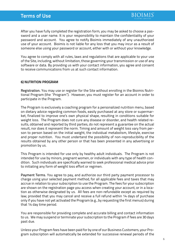After you have fully completed the registration form, you may be asked to choose a password and a user name. It is your responsibility to maintain the confidentiality of your password and account. You agree to notify Bioimis immediately of any unauthorized use of your account. Bioimis is not liable for any loss that you may incur as a result of someone else using your password or account, either with or without your knowledge.

You agree to comply with all rules, laws and regulations that are applicable to your use of the Site, including, without limitation, those governing your transmission or use of any software or data. By providing us with your contact information, you agree and consent to receive communications from us at such contact information.

#### **6) NUTRITION PROGRAM**

Registration. You may use or register for the Site without enrolling in the Bioimis Nutritional Program (the "Program"). However, you must register for an account in order to participate in the Program.

The Program is exclusively a coaching program for a personalized nutrition menu, based on dietary advice regarding common foods, easily purchased at any store or supermarket, finalized to improve one's own physical shape, resulting in conditions suitable for weight loss. The Program does not cure any disease or disorder, and health related results, obtained and reported by third parties, do not represent a guarantee on the actual result, nor does it represent the norm. Timing and amount of weight loss vary from person to person based on the initial weight, the individual metabolism, lifestyle, exercise and proper nutrition. You must undertand the possibility of non-reproducibility of the results obtained by any other person or that has been presented in any advertising or promotion by us.

This Program is intended for use only by healthy adult individuals. The Program is not intended for use by minors, pregnant women, or individuals with any type of health condition. Such individuals are specifically warned to seek professional medical advice prior to initiating any form of weight loss effort or regimen.

Payment Terms. You agree to pay, and authorize our third party payment processor to charge using your selected payment method, for all applicable fees and taxes that may accrue in relation to your subscription to use the Program. The fees for your subscription are shown on the registration page you access when creating your account, or in a location as otherwise designated by us. All fees are non-refundable except as required by law; provided that you may cancel and receive a full refund within 14 days of purchase only if you have not yet activated the Program (e.g., by requesting the first menus) during that 14 day time period.

You are responsible for providing complete and accurate billing and contact information to us. We may suspend or terminate your subscription to the Program if fees are 30 days past due.

Unless your Program fees have been paid for by one of our Business Customers, your Program subscription will automatically be extended for successive renewal periods of the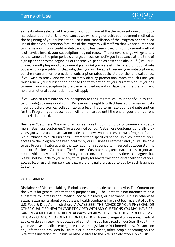same duration selected at the time of your purchase, at the then-current non-promotional subscription rate. Until you cancel, we will charge or debit your payment method at the beginning of your subscription. Your non-cancellation of the Program or continued use of the paid subscription features of the Program will reaffirm that we are authorized to charge you. If your credit or debit account has been closed or your payment method is otherwise invalid, your subscription may not renew. The renewal charge will generally be the same as the prior period's charge, unless we notify you in advance at the time of sign up or prior to the beginning of the renewal period as described above. If (i) you purchased a multiple-period prepayment plan or (ii) you were eligible for a promotional rate but are no long eligible for that rate, then you will be able to renew your subscription at our then-current non-promotional subscription rates at the start of the renewal period. If you wish to renew and we are currently offering promotional rates at such time, you must renew your subscription prior to the termination of your current plan. If you fail to renew your subscription before the scheduled expiration date, then the then-current non-promotional subscription rate will apply.

If you wish to terminate your subscription to the Program, you must notify us by contacting info@bioimisworld.com. We reserve the right to collect fees, surcharges, or costs incurred before your cancellation takes effect. If you terminate your paid subscription for the Program, your subscription will remain active until the end of your then-current subscription period.

Business Customers. We may offer our services through third party commercial customers ("Business Customers") for a specified period. A Business Customer generally provides you with a unique activation code that allows you to access certain Program features purchased by such Business Customer for a specified period. In such instance, your access to the Program has been paid for by our Business Customer, and you will be able to use Program features until the expiration of a specified term agreed between Bioimis and such Business Customer. The Business Customer may terminate access to your account (which may be different from your personal account) at any time. You agree that we will not be liable to you or any third-party for any termination or cancellation of your access to, or use of, our services that were originally provided to you by such Business Customer.

# **7) DISCLAIMERS**

Disclaimer of Medical Liability. Bioimis does not provide medical advice. The Content on the Site is for general informational purposes only. The Content is not intended to be a substitute for professional medical advice, diagnosis, or treatment. Unless otherwise stated, statements about products and health conditions have not been evaluated by the U.S. Food & Drug Administration. ALWAYS SEEK THE ADVICE OF YOUR PHYSICIAN OR OTHER QUALIFIED HEALTH CARE PROVIDER WITH ANY QUESTIONS YOU MAY HAVE RE-GARDING A MEDICAL CONDITION. ALWAYS SPEAK WITH A PRACTITIONER BEFORE MA-KING ANY CHANGES TO YOUR DIET OR NUTRITION. Never disregard professional medical advice or delay in seeking it because of something you have read on our Site. If you think you may have a medical emergency, call your physician or 911 immediately. Reliance on any information provided by Bioimis or our employees, other people appearing on the Site at the invitation of Bioimis, or other visitors to the Site is solely at your own risk.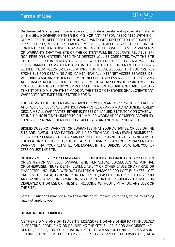Disclaimer of Warranties. Bioimis strives to provide accurate and up-to-date material on the Site. HOWEVER, NEITHER BIOIMIS NOR ANY PERSON ASSOCIATED WITH BIOI-MIS MAKES ANY REPRESENTATION OR WARRANTY WITH RESPECT TO THE COMPLETE-NESS, SECURITY, RELIABILITY, QUALITY, TIMELINESS, OR ACCURACY OF THE SITE OR THE CONTENT. NEITHER BIOIMIS NOR ANYONE ASSOCIATED WITH BIOIMIS REPRESENTS OR WARRANTS THAT THE SITE OR THE CONTENT WILL BE ACCURATE, RELIABLE, ER-ROR-FREE OR UNINTERRUPTED, THAT DEFECTS WILL BE CORRECTED, THAT THE SITE OR THE SERVER THAT MAKES IT AVAILABLE WILL BE FREE OF VIRUSES, MALWARE OR OTHER HARMFUL COMPONENTS OR THAT THE SITE OR THE CONTENT WILL OTHERWI-SE MEET YOUR NEEDS OR EXPECTATIONS. YOU ACKNOWLEDGE THAT YOU ARE RE-SPONSIBLE FOR OBTAINING AND MAINTAINING ALL INTERNET ACCESS SERVICES, DE-VICE HARDWARE AND OTHER EQUIPMENT NEEDED TO ACCESS AND USE THE SITE, AND ALL CHARGES RELATED THERETO. YOU ASSUME TOTAL RESPONSIBILITY AND RISK FOR YOUR USE OF THE SITE AND YOUR RELIANCE THEREON. NO OPINION, ADVICE, OR STA-TEMENT OF BIOIMIS, WHETHER MADE ON THE SITE OR OTHERWISE, SHALL CREATE ANY WARRANTY NOT EXPRESSLY STATED HEREIN.

THE SITE AND THE CONTENT ARE PROVIDED TO YOU ON AN "AS IS", "WITH ALL FAULTS" AND "AS AVAILABLE" BASIS, WITHOUT WARRANTIES OF ANY KIND, AND BIOIMIS HEREBY DISCLAIMS ALL WARRANTIES, EITHER EXPRESS OR IMPLIED, STATUTORY OR OTHERWI-SE, INCLUDING BUT NOT LIMITED TO ANY IMPLIED WARRANTIES OF MERCHANTABILITY, FITNESS FOR A PARTICULAR PURPOSE, ACCURACY, AND NON-INFRINGEMENT.

BIOIMIS DOES NOT WARRANT OR GUARANTEE THAT YOUR ACTIVITIES, OR USE OF THE SITE, ARE LAWFUL IN ANY PARTICULAR JURISDICTION AND, IN ANY EVENT, BIOIMIS SPE-CIFICALLY DISCLAIMS SUCH WARRANTIES. YOU UNDERSTAND THAT BY USING ANY OF THE FEATURES OF THE SITE, YOU ACT AT YOUR OWN RISK, AND YOU REPRESENT AND WARRANT THAT YOUR ACTIVITIES ARE LAWFUL IN THE JURISDICTION WHERE YOU AC-CESS OR USE THE SITE.

BIOIMIS SPECIFICALLY DISCLAIMS ANY RESPONSIBILITY OR LIABILITY TO ANY PERSON OR ENTITY FOR ANY LOSS, DAMAGE (WHETHER ACTUAL, CONSEQUENTIAL, PUNITIVE OR OTHERWISE), INJURY, DEATH, CLAIM, LIABILITY OR OTHER CAUSE OF ANY KIND OR CHARACTER (INCLUDING, WITHOUT LIMITATION, DAMAGES FOR LOST BUSINESS, LOST PROFITS, LOST DATA, OR BUSINESS INTERRUPTION) BASED UPON OR RESULTING FROM ANY OPINION, ADVICE, INFORMATION, STATEMENT OR OTHER SUBMISSIONS MADE OR DISPLAYED ON, OR USE OF, THE SITE (INCLUDING, WITHOUT LIMITATION, ANY USER OF THE SITE).

Some jurisdictions may not allow the exclusion of implied warranties, so the foregoing may not apply to you.

## **8) LIMITATION OF LIABILITY**

NEITHER BIOIMIS, ANY OF ITS AGENTS, LICENSORS, NOR ANY OTHER PARTY INVOLVED IN CREATING, PRODUCING, OR DELIVERING THE SITE IS LIABLE FOR ANY DIRECT, INCI-DENTAL, SPECIAL, CONSEQUENTIAL, INDIRECT, EXEMPLARY OR PUNITIVE DAMAGES, IN-CLUDING BUT NOT LIMITED TO DAMAGES FOR LOSS OF PROFITS, GOODWILL, USE, DATA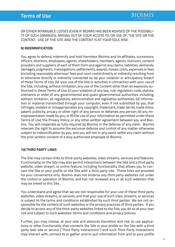OR OTHER INTANGIBLE LOSSES (EVEN IF BIOIMIS HAS BEEN ADVISED OF THE POSSIBILI-TY OF SUCH DAMAGES), ARISING OUT OF YOUR ACCESS TO, OR USE OF, THE SITE OR THE CONTENT. USE OF THE SITE AND THE CONTENT IS AT YOUR SOLE RISK.

#### **9) INDEMNIFICATION**

You agree to defend, indemnify and hold harmless Bioimis and its affiliates, successors, officers, directors, employees, agents, shareholders, members, agents, licensors, content providers and suppliers of each of them from and against any claims, liabilities, demands, damages, judgments, investigations, settlements, awards, losses, costs, expenses or fees (including reasonable attorneys' fees and court costs) directly or indirectly resulting from or otherwise directly or indirectly connected to: (a) your violation or anticipatory breach of these Terms of Use, (b) your use of the Site or activities in connection with your use of the Site, including, without limitation, any use of the Content other than as expressly authorized in these Terms of Use, (c) your violation of any law, rule, regulation, code, statute, ordinance or order of any governmental and quasi-governmental authorities, including, without limitation, all regulatory, administrative and legislative authorities; (d) information or material transmitted through your computer, even if not submitted by you, that infringes, violates or misappropriates any copyright, trademark, trade secret, trade dress, patent, publicity, privacy or other right of any person or defames any person; (e) any misrepresentation made by you; or (f) the use of your information as permitted under these Terms of Use, the Privacy Policy, or any other written agreement between you and Bioimis. You will cooperate as fully required by Bioimis in the defense of any claim. Bioimis reserves the right to assume the exclusive defense and control of any matter otherwise subject to indemnification by you, and you will not in any event settle any claim without the prior written consent of a duly authorized employee of Bioimis.

#### **10) THIRD PARTY LINKS**

The Site may contain links to third-party websites, video streams, services and features. Functionality on the Site may also permit interactions between the Site and a third party website, video stream, or online feature, including functionality that allows you to connect the Site or your profile on the Site with a third party site. These links are provided for your convenience only. Bioimis does not endorse any third party websites not under the control or operation of Bioimis, and has not reviewed any or all such websites that may be linked to this Site.

You understand and agree that we are not responsible for your use of these third party websites, video streams, or services, and that your use of such sites, streams, or services is subject to the terms and conditions established by such third parties. We are not responsible for the content of such websites or the privacy practices of third parties. If you decide to access any of the third-party websites linked to the Site, you do so at your own risk and subject to such websites' terms and conditions and privacy policies.

Further, you may choose, at your sole and absolute discretion and risk, to use applications or other functionality that connects the Site or your profile on the Site with a third party web site or service ("Third Party Interactions") and such Third Party Interactions may interact with, connect to or gather and/or pull information from and to your profile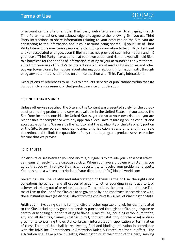or account on the Site or another third party web site or service. By engaging in such Third Party Interactions, you acknowledge and agree to the following: (i) if you use Third Party Interactions to share information relating to your accounts on the Site, you are consenting to the information about your account being shared; (ii) your use of Third Party Interactions may cause personally identifying information to be publicly disclosed and/or associated with you, even if Bioimis has not provided such information; and (iii) your use of Third Party Interactions is at your own option and risk, and you will hold Bioimis harmless for the sharing of information relating to your accounts on the Site that results from your use of Third Party Interactions. You must read all log-in boxes and other pop-up boxes closely for notices about sharing your account information with, through or by any other means identified on or in connection with Third Party Interactions.

Descriptions of, references to, or links to products, services or publications within the Site do not imply endorsement of that product, service or publication.

## **11) UNITED STATES ONLY**

Unless otherwise specified, the Site and the Content are presented solely for the purpose of promoting products and services available in the United States. If you access the Site from locations outside the United States, you do so at your own risk and you are responsible for compliance with any applicable local laws regarding online conduct and acceptable content. We reserve the right to limit the availability of the Site or any portion of the Site, to any person, geographic area, or jurisdiction, at any time and in our sole discretion, and to limit the quantities of any content, program, product, service or other feature that we provide.

## **12) DISPUTES**

If a dispute arises between you and Bioimis, our goal is to provide you with a cost effective means of resolving the dispute quickly. When you have a problem with Bioimis, you agree that you will first give Bioimis an opportunity to resolve your problem or dispute. You may send a written description of your dispute to: info@bioimisworld.com

Governing Law. The validity and interpretation of these Terms of Use, the rights and obligations hereunder, and all causes of action (whether sounding in contract, tort, or otherwise) arising out of or related to these Terms of Use, the termination of these Terms of Use, or the use of the Site, are to be governed by, and construed in accordance with, the substantive laws (as distinguished from the choice of law rules) of Washington State.

Arbitration. Excluding claims for injunctive or other equitable relief, for claims related to the Site, including any goods or services purchased through the Site, any dispute or controversy arising out of or relating to these Terms of Use, including without limitation, any and all disputes, claims (whether in tort, contract, statutory or otherwise) or disagreements concerning the existence, breach, interpretation, application or termination of these Terms of Use shall be resolved by final and binding arbitration in accordance with the JAMS Inc. Comprehensive Arbitration Rules & Procedures then in effect. The arbitration shall take place in Seattle, Washington or at the option of the party seeking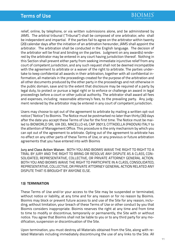relief, online, by telephone, or via written submissions alone, and be administered by JAMS. The arbitral tribunal ("Tribunal") shall be composed of one arbitrator, who shall be independent and impartial. If the parties fail to agree on the arbitrator within twenty (20) calendar days after the initiation of an arbitration hereunder, JAMS shall appoint the arbitrator. The arbitration shall be conducted in the English language. The decision of the arbitrator will be final and binding on the parties. Judgment on any award(s) rendered by the arbitrator may be entered in any court having jurisdiction thereof. Nothing in this Section shall prevent either party from seeking immediate injunctive relief from any court of competent jurisdiction, and any such request shall not be deemed incompatible with the agreement to arbitrate or a waiver of the right to arbitrate. The parties undertake to keep confidential all awards in their arbitration, together with all confidential information, all materials in the proceedings created for the purpose of the arbitration and all other documents produced by the other party in the proceedings and not otherwise in the public domain, save and to the extent that disclosure may be required of a party by legal duty, to protect or pursue a legal right or to enforce or challenge an award in legal proceedings before a court or other judicial authority. The arbitrator shall award all fees and expenses, including reasonable attorney's fees, to the prevailing party. Any judgment rendered by the arbitrator may be entered in any court of competent jurisdiction.

Users may choose to opt out of the agreement to arbitrate by mailing a written opt-out notice ("Notice") to Bioimis. The Notice must be postmarked no later than thirty (30) days after the date you accept these Terms of Use for the first time. The Notice must be mailed to BIOWORLD SRL VIA DEL MACELLO 45, CAP 35013, CITTADELLA (PADOVA) ITALY to the attention of Management Office. This procedure is the only mechanism by which you can opt out of the agreement to arbitrate. Opting out of the agreement to arbitrate has no effect on any other parts of these Terms of Use, or any previous or future arbitration agreements that you have entered into with Bioimis

Jury and Class Action Waiver. BOTH YOU AND BIOIMIS WAIVE THE RIGHT TO RIGHT TO A TRIAL BY JURY AND THE RIGHT TO BRING OR RESOLVE ANY DISPUTE AS A CLASS, CON-SOLIDATED, REPRESENTATIVE, COLLECTIVE, OR PRIVATE ATTORNEY GENERAL ACTION. BOTH YOU AND BIOIMIS WAIVE THE RIGHT TO PARTICIPATE IN A CLASS, CONSOLIDATED, REPRESENTATIVE, COLLECTIVE, OR PRIVATE ATTORNEY GENERAL ACTION RELATED ANY DISPUTE THAT IS BROUGHT BY ANYONE ELSE.

## **13) TERMINATION**

These Terms of Use and/or your access to the Site may be suspended or terminated, without notice or liability, at any time and for any reason or for no reason by Bioimis. Bioimis may block or prevent future access to and use of the Site for any reason, including, without limitation, your breach of these Terms of Use or other conduct by you that Bioimis considers inappropriate. Bioimis reserves the right at any time and from time to time to modify or discontinue, temporarily or permanently, the Site with or without notice. You agree that Bioimis shall not be liable to you or to any third party for any modification, suspension or discontinuation of the Site.

Upon termination, you must destroy all Materials obtained from the Site, along with related Materials including immediately discontinuing the use of any links to the Site. All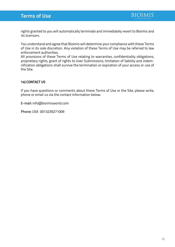

rights granted to you will automatically terminate and immediately revert to Bioimis and its licensors.

You understand and agree that Bioimis will determine your compliance with these Terms of Use in its sole discretion. Any violation of these Terms of Use may be referred to law enforcement authorities.

All provisions of these Terms of Use relating to warranties, confidentiality obligations, proprietary rights, grant of rights to User Submissions, limitation of liability and indemnification obligations shall survive the termination or expiration of your access or use of the Site.

## **14) CONTACT US**

If you have questions or comments about these Terms of Use or the Site, please write, phone or email us via the contact information below:

E-mail: info@bioimisworld.com

Phone: USA 0013239271009